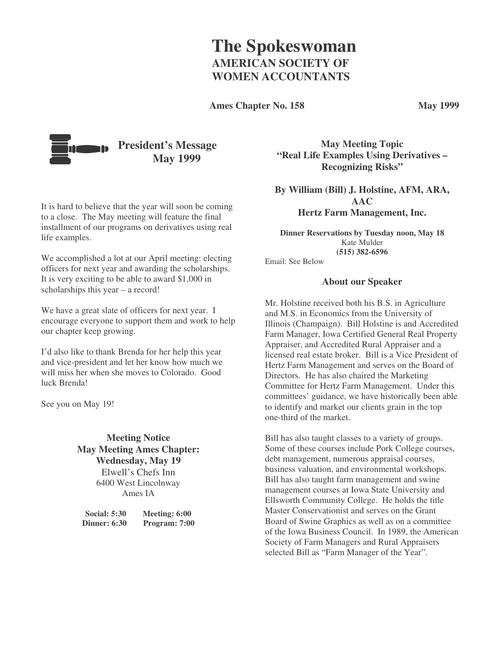# **The Spokeswoman AMERICAN SOCIETY OF WOMEN ACCOUNTANTS**

**Ames Chapter No. 158 May 1999**



It is hard to believe that the year will soon be coming to a close. The May meeting will feature the final installment of our programs on derivatives using real life examples.

We accomplished a lot at our April meeting: electing officers for next year and awarding the scholarships. It is very exciting to be able to award \$1,000 in scholarships this year – a record!

We have a great slate of officers for next year. I encourage everyone to support them and work to help our chapter keep growing.

I'd also like to thank Brenda for her help this year and vice-president and let her know how much we will miss her when she moves to Colorado. Good luck Brenda!

See you on May 19!

### **Meeting Notice May Meeting Ames Chapter: Wednesday, May 19** Elwell's Chefs Inn 6400 West Lincolnway Ames IA

| <b>Social: 5:30</b> | Meeting: 6:00 |
|---------------------|---------------|
| <b>Dinner: 6:30</b> | Program: 7:00 |

**May Meeting Topic "Real Life Examples Using Derivatives – Recognizing Risks"**

**By William (Bill) J. Holstine, AFM, ARA, AAC Hertz Farm Management, Inc.**

**Dinner Reservations by Tuesday noon, May 18** Kate Mulder **(515) 382-6596**

Email: See Below

### **About our Speaker**

Mr. Holstine received both his B.S. in Agriculture and M.S. in Economics from the University of Illinois (Champaign). Bill Holstine is and Accredited Farm Manager, Iowa Certified General Real Property Appraiser, and Accredited Rural Appraiser and a licensed real estate broker. Bill is a Vice President of Hertz Farm Management and serves on the Board of Directors. He has also chaired the Marketing Committee for Hertz Farm Management. Under this committees' guidance, we have historically been able to identify and market our clients grain in the top one-third of the market.

Bill has also taught classes to a variety of groups. Some of these courses include Pork College courses, debt management, numerous appraisal courses, business valuation, and environmental workshops. Bill has also taught farm management and swine management courses at Iowa State University and Ellsworth Community College. He holds the title Master Conservationist and serves on the Grant Board of Swine Graphics as well as on a committee of the Iowa Business Council. In 1989, the American Society of Farm Managers and Rural Appraisers selected Bill as "Farm Manager of the Year".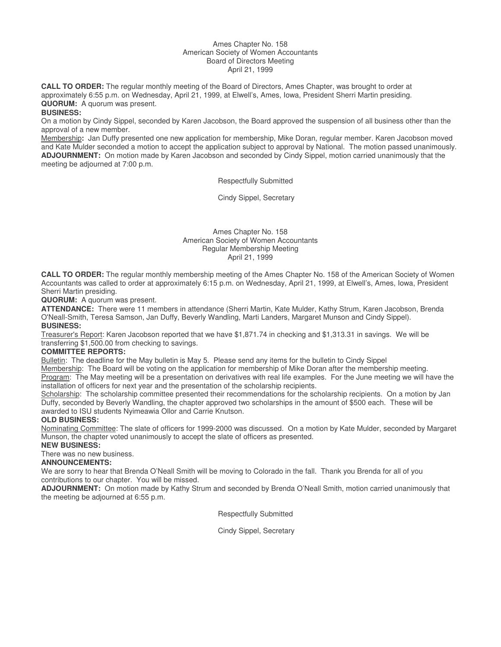#### Ames Chapter No. 158 American Society of Women Accountants Board of Directors Meeting April 21, 1999

**CALL TO ORDER:** The regular monthly meeting of the Board of Directors, Ames Chapter, was brought to order at approximately 6:55 p.m. on Wednesday, April 21, 1999, at Elwell's, Ames, Iowa, President Sherri Martin presiding. **QUORUM:** A quorum was present.

#### **BUSINESS:**

On a motion by Cindy Sippel, seconded by Karen Jacobson, the Board approved the suspension of all business other than the approval of a new member.

Membership**:** Jan Duffy presented one new application for membership, Mike Doran, regular member. Karen Jacobson moved and Kate Mulder seconded a motion to accept the application subject to approval by National. The motion passed unanimously. **ADJOURNMENT:** On motion made by Karen Jacobson and seconded by Cindy Sippel, motion carried unanimously that the meeting be adjourned at 7:00 p.m.

Respectfully Submitted

Cindy Sippel, Secretary

#### Ames Chapter No. 158 American Society of Women Accountants Regular Membership Meeting April 21, 1999

**CALL TO ORDER:** The regular monthly membership meeting of the Ames Chapter No. 158 of the American Society of Women Accountants was called to order at approximately 6:15 p.m. on Wednesday, April 21, 1999, at Elwell's, Ames, Iowa, President Sherri Martin presiding.

**QUORUM:** A quorum was present.

**ATTENDANCE:** There were 11 members in attendance (Sherri Martin, Kate Mulder, Kathy Strum, Karen Jacobson, Brenda O'Neall-Smith, Teresa Samson, Jan Duffy, Beverly Wandling, Marti Landers, Margaret Munson and Cindy Sippel). **BUSINESS:**

Treasurer's Report: Karen Jacobson reported that we have \$1,871.74 in checking and \$1,313.31 in savings. We will be transferring \$1,500.00 from checking to savings.

#### **COMMITTEE REPORTS:**

Bulletin: The deadline for the May bulletin is May 5. Please send any items for the bulletin to Cindy Sippel

Membership: The Board will be voting on the application for membership of Mike Doran after the membership meeting. Program: The May meeting will be a presentation on derivatives with real life examples. For the June meeting we will have the installation of officers for next year and the presentation of the scholarship recipients.

Scholarship: The scholarship committee presented their recommendations for the scholarship recipients. On a motion by Jan Duffy, seconded by Beverly Wandling, the chapter approved two scholarships in the amount of \$500 each. These will be awarded to ISU students Nyimeawia Ollor and Carrie Knutson.

#### **OLD BUSINESS:**

Nominating Committee: The slate of officers for 1999-2000 was discussed. On a motion by Kate Mulder, seconded by Margaret Munson, the chapter voted unanimously to accept the slate of officers as presented.

#### **NEW BUSINESS:**

There was no new business.

#### **ANNOUNCEMENTS:**

We are sorry to hear that Brenda O'Neall Smith will be moving to Colorado in the fall. Thank you Brenda for all of you contributions to our chapter. You will be missed.

**ADJOURNMENT:** On motion made by Kathy Strum and seconded by Brenda O'Neall Smith, motion carried unanimously that the meeting be adjourned at 6:55 p.m.

Respectfully Submitted

Cindy Sippel, Secretary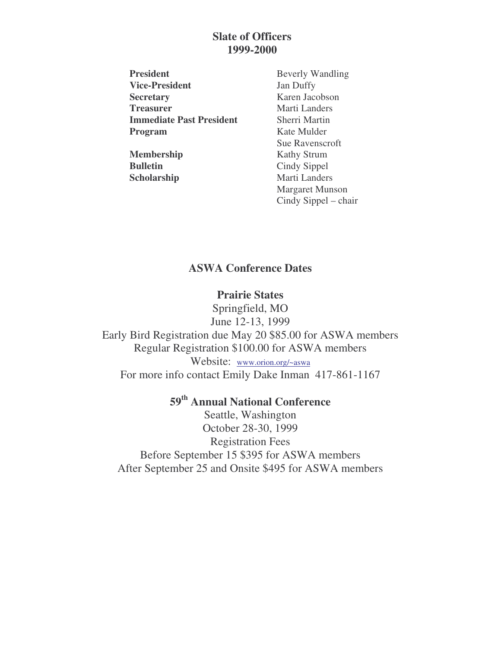## **Slate of Officers 1999-2000**

**President** Beverly Wandling **Vice-President** Jan Duffy **Secretary** Karen Jacobson **Treasurer** Marti Landers **Immediate Past President** Sherri Martin **Program** Kate Mulder

**Membership** Kathy Strum **Bulletin** Cindy Sippel

Sue Ravenscroft **Scholarship** Marti Landers Margaret Munson Cindy Sippel – chair

# **ASWA Conference Dates**

## **Prairie States**

Springfield, MO June 12-13, 1999 Early Bird Registration due May 20 \$85.00 for ASWA members Regular Registration \$100.00 for ASWA members Website: www.orion.org/~aswa For more info contact Emily Dake Inman 417-861-1167

# **59 th Annual National Conference**

Seattle, Washington October 28-30, 1999 Registration Fees Before September 15 \$395 for ASWA members After September 25 and Onsite \$495 for ASWA members